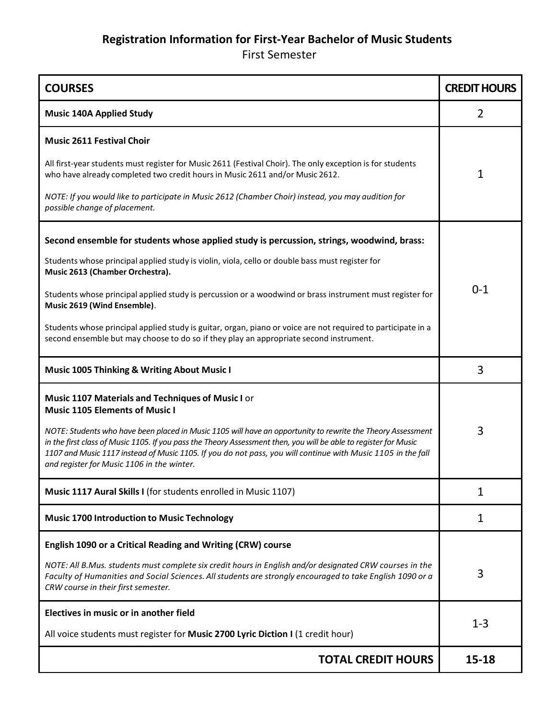## **Registration Information for First-Year Bachelor of Music Students**

First Semester

| <b>COURSES</b>                                                                                                                                                                                                                                                                                                                                                                                | <b>CREDIT HOURS</b> |
|-----------------------------------------------------------------------------------------------------------------------------------------------------------------------------------------------------------------------------------------------------------------------------------------------------------------------------------------------------------------------------------------------|---------------------|
| <b>Music 140A Applied Study</b>                                                                                                                                                                                                                                                                                                                                                               | $\overline{2}$      |
| <b>Music 2611 Festival Choir</b>                                                                                                                                                                                                                                                                                                                                                              |                     |
| All first-year students must register for Music 2611 (Festival Choir). The only exception is for students<br>who have already completed two credit hours in Music 2611 and/or Music 2612.                                                                                                                                                                                                     | 1                   |
| NOTE: If you would like to participate in Music 2612 (Chamber Choir) instead, you may audition for<br>possible change of placement.                                                                                                                                                                                                                                                           |                     |
| Second ensemble for students whose applied study is percussion, strings, woodwind, brass:                                                                                                                                                                                                                                                                                                     |                     |
| Students whose principal applied study is violin, viola, cello or double bass must register for<br>Music 2613 (Chamber Orchestra).                                                                                                                                                                                                                                                            |                     |
| Students whose principal applied study is percussion or a woodwind or brass instrument must register for<br>Music 2619 (Wind Ensemble).                                                                                                                                                                                                                                                       | $0 - 1$             |
| Students whose principal applied study is guitar, organ, piano or voice are not required to participate in a<br>second ensemble but may choose to do so if they play an appropriate second instrument.                                                                                                                                                                                        |                     |
| <b>Music 1005 Thinking &amp; Writing About Music I</b>                                                                                                                                                                                                                                                                                                                                        | 3                   |
| Music 1107 Materials and Techniques of Music I or<br><b>Music 1105 Elements of Music I</b>                                                                                                                                                                                                                                                                                                    |                     |
| NOTE: Students who have been placed in Music 1105 will have an opportunity to rewrite the Theory Assessment<br>in the first class of Music 1105. If you pass the Theory Assessment then, you will be able to register for Music<br>1107 and Music 1117 instead of Music 1105. If you do not pass, you will continue with Music 1105 in the fall<br>and register for Music 1106 in the winter. | 3                   |
| Music 1117 Aural Skills I (for students enrolled in Music 1107)                                                                                                                                                                                                                                                                                                                               | 1                   |
| <b>Music 1700 Introduction to Music Technology</b>                                                                                                                                                                                                                                                                                                                                            | 1                   |
| English 1090 or a Critical Reading and Writing (CRW) course                                                                                                                                                                                                                                                                                                                                   |                     |
| NOTE: All B.Mus. students must complete six credit hours in English and/or designated CRW courses in the<br>Faculty of Humanities and Social Sciences. All students are strongly encouraged to take English 1090 or a<br>CRW course in their first semester.                                                                                                                                  | 3                   |
| Electives in music or in another field                                                                                                                                                                                                                                                                                                                                                        |                     |
| All voice students must register for Music 2700 Lyric Diction I (1 credit hour)                                                                                                                                                                                                                                                                                                               | $1 - 3$             |
| <b>TOTAL CREDIT HOURS</b>                                                                                                                                                                                                                                                                                                                                                                     | 15-18               |